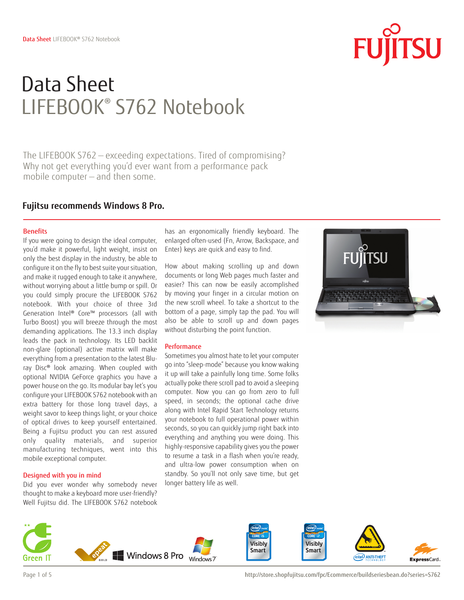# Data Sheet LIFEBOOK® S762 Notebook

The LIFEBOOK S762 — exceeding expectations. Tired of compromising? Why not get everything you'd ever want from a performance pack mobile computer — and then some.

### **Fujitsu recommends Windows 8 Pro.**

### Benefits

If you were going to design the ideal computer, you'd make it powerful, light weight, insist on only the best display in the industry, be able to configure it on the fly to best suite your situation, and make it rugged enough to take it anywhere, without worrying about a little bump or spill. Or you could simply procure the LIFEBOOK S762 notebook. With your choice of three 3rd Generation Intel® Core™ processors (all with Turbo Boost) you will breeze through the most demanding applications. The 13.3 inch display leads the pack in technology. Its LED backlit non-glare (optional) active matrix will make everything from a presentation to the latest Bluray Disc® look amazing. When coupled with optional NVIDIA GeForce graphics you have a power house on the go. Its modular bay let's you configure your LIFEBOOK S762 notebook with an extra battery for those long travel days, a weight savor to keep things light, or your choice of optical drives to keep yourself entertained. Being a Fujitsu product you can rest assured only quality materials, and superior manufacturing techniques, went into this mobile exceptional computer.

### Designed with you in mind

Did you ever wonder why somebody never thought to make a keyboard more user-friendly? Well Fujitsu did. The LIFEBOOK S762 notebook

has an ergonomically friendly keyboard. The enlarged often-used (Fn, Arrow, Backspace, and Enter) keys are quick and easy to find.

How about making scrolling up and down documents or long Web pages much faster and easier? This can now be easily accomplished by moving your finger in a circular motion on the new scroll wheel. To take a shortcut to the bottom of a page, simply tap the pad. You will also be able to scroll up and down pages without disturbing the point function.

### **Performance**

Sometimes you almost hate to let your computer go into "sleep-mode" because you know waking it up will take a painfully long time. Some folks actually poke there scroll pad to avoid a sleeping computer. Now you can go from zero to full speed, in seconds; the optional cache drive along with Intel Rapid Start Technology returns your notebook to full operational power within seconds, so you can quickly jump right back into everything and anything you were doing. This highly-responsive capability gives you the power to resume a task in a flash when you're ready, and ultra-low power consumption when on standby. So you'll not only save time, but get longer battery life as well.



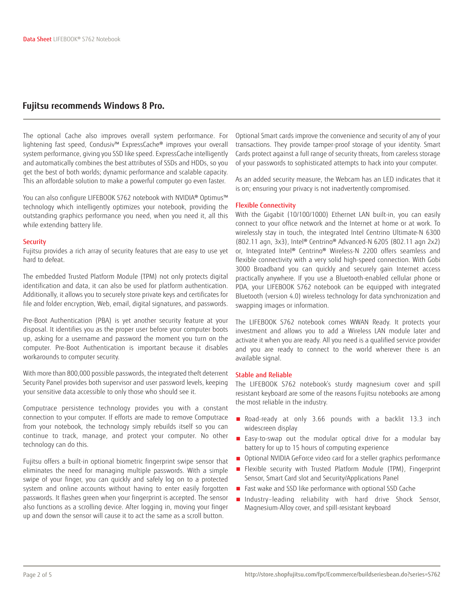### **Fujitsu recommends Windows 8 Pro.**

The optional Cache also improves overall system performance. For lightening fast speed, Condusiv™ ExpressCache® improves your overall system performance, giving you SSD like speed. ExpressCache intelligently and automatically combines the best attributes of SSDs and HDDs, so you get the best of both worlds; dynamic performance and scalable capacity. This an affordable solution to make a powerful computer go even faster.

You can also configure LIFEBOOK S762 notebook with NVIDIA® Optimus™ technology which intelligently optimizes your notebook, providing the outstanding graphics performance you need, when you need it, all this while extending battery life.

### **Security**

Fujitsu provides a rich array of security features that are easy to use yet hard to defeat.

The embedded Trusted Platform Module (TPM) not only protects digital identification and data, it can also be used for platform authentication. Additionally, it allows you to securely store private keys and certificates for file and folder encryption, Web, email, digital signatures, and passwords.

Pre-Boot Authentication (PBA) is yet another security feature at your disposal. It identifies you as the proper user before your computer boots up, asking for a username and password the moment you turn on the computer. Pre-Boot Authentication is important because it disables workarounds to computer security.

With more than 800,000 possible passwords, the integrated theft deterrent Security Panel provides both supervisor and user password levels, keeping your sensitive data accessible to only those who should see it.

Computrace persistence technology provides you with a constant connection to your computer. If efforts are made to remove Computrace from your notebook, the technology simply rebuilds itself so you can continue to track, manage, and protect your computer. No other technology can do this.

Fujitsu offers a built-in optional biometric fingerprint swipe sensor that eliminates the need for managing multiple passwords. With a simple swipe of your finger, you can quickly and safely log on to a protected system and online accounts without having to enter easily forgotten passwords. It flashes green when your fingerprint is accepted. The sensor also functions as a scrolling device. After logging in, moving your finger up and down the sensor will cause it to act the same as a scroll button.

Optional Smart cards improve the convenience and security of any of your transactions. They provide tamper-proof storage of your identity. Smart Cards protect against a full range of security threats, from careless storage of your passwords to sophisticated attempts to hack into your computer.

As an added security measure, the Webcam has an LED indicates that it is on; ensuring your privacy is not inadvertently compromised.

### Flexible Connectivity

With the Gigabit (10/100/1000) Ethernet LAN built-in, you can easily connect to your office network and the Internet at home or at work. To wirelessly stay in touch, the integrated Intel Centrino Ultimate-N 6300 (802.11 agn, 3x3), Intel® Centrino® Advanced-N 6205 (802.11 agn 2x2) or, Integrated Intel® Centrino® Wireless-N 2200 offers seamless and flexible connectivity with a very solid high-speed connection. With Gobi 3000 Broadband you can quickly and securely gain Internet access practically anywhere. If you use a Bluetooth-enabled cellular phone or PDA, your LIFEBOOK S762 notebook can be equipped with integrated Bluetooth (version 4.0) wireless technology for data synchronization and swapping images or information.

The LIFEBOOK S762 notebook comes WWAN Ready. It protects your investment and allows you to add a Wireless LAN module later and activate it when you are ready. All you need is a qualified service provider and you are ready to connect to the world wherever there is an available signal.

### Stable and Reliable

The LIFEBOOK S762 notebook's sturdy magnesium cover and spill resistant keyboard are some of the reasons Fujitsu notebooks are among the most reliable in the industry.

- Road-ready at only 3.66 pounds with a backlit 13.3 inch widescreen display
- Easy-to-swap out the modular optical drive for a modular bay battery for up to 15 hours of computing experience
- Optional NVIDIA GeForce video card for a steller graphics performance
- Flexible security with Trusted Platform Module (TPM), Fingerprint Sensor, Smart Card slot and Security/Applications Panel
- Fast wake and SSD like performance with optional SSD Cache
- Industry–leading reliability with hard drive Shock Sensor, Magnesium-Alloy cover, and spill-resistant keyboard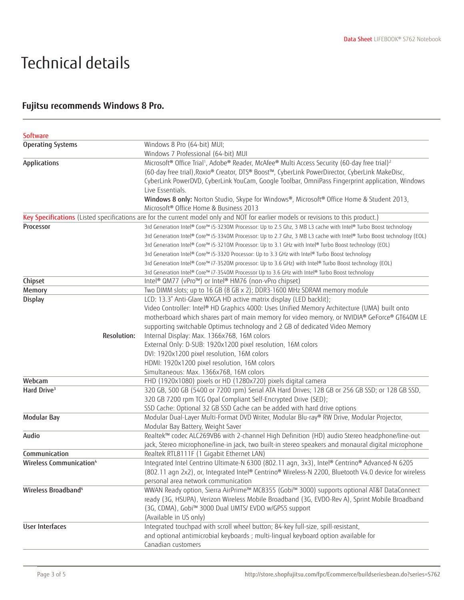## Technical details

## **Fujitsu recommends Windows 8 Pro.**

| <b>Software</b>                     |                    |                                                                                                                                    |
|-------------------------------------|--------------------|------------------------------------------------------------------------------------------------------------------------------------|
| <b>Operating Systems</b>            |                    | Windows 8 Pro (64-bit) MUI;                                                                                                        |
|                                     |                    | Windows 7 Professional (64-bit) MUI                                                                                                |
| Applications                        |                    | Microsoft® Office Trial <sup>1</sup> , Adobe® Reader, McAfee® Multi Access Security (60-day free trial) <sup>2</sup>               |
|                                     |                    | (60-day free trial), Roxio® Creator, DTS® Boost™, CyberLink PowerDirector, CyberLink MakeDisc,                                     |
|                                     |                    | CyberLink PowerDVD, CyberLink YouCam, Google Toolbar, OmniPass Fingerprint application, Windows                                    |
|                                     |                    | Live Essentials.                                                                                                                   |
|                                     |                    | Windows 8 only: Norton Studio, Skype for Windows®, Microsoft® Office Home & Student 2013,                                          |
|                                     |                    | Microsoft <sup>®</sup> Office Home & Business 2013                                                                                 |
|                                     |                    | Key Specifications (Listed specifications are for the current model only and NOT for earlier models or revisions to this product.) |
| Processor                           |                    | 3rd Generation Intel® Core™ i5-3230M Processor: Up to 2.5 Ghz, 3 MB L3 cache with Intel® Turbo Boost technology                    |
|                                     |                    | 3rd Generation Intel® Core™ i5-3340M Processor: Up to 2.7 Ghz, 3 MB L3 cache with Intel® Turbo Boost technology (EOL)              |
|                                     |                    | 3rd Generation Intel® Core™ i5-3210M Processor: Up to 3.1 GHz with Intel® Turbo Boost technology (EOL)                             |
|                                     |                    | 3rd Generation Intel® Core™ i5-3320 Processor: Up to 3.3 GHz with Intel® Turbo Boost technology                                    |
|                                     |                    | 3rd Generation Intel® Core™ i7-3520M processor: Up to 3.6 GHz) with Intel® Turbo Boost technology (EOL)                            |
|                                     |                    | 3rd Generation Intel® Core™ i7-3540M Processor Up to 3.6 GHz with Intel® Turbo Boost technology                                    |
| Chipset                             |                    | Intel® QM77 (vPro™) or Intel® HM76 (non-vPro chipset)                                                                              |
| Memory                              |                    | Two DIMM slots; up to 16 GB (8 GB x 2); DDR3-1600 MHz SDRAM memory module                                                          |
| <b>Display</b>                      |                    | LCD: 13.3" Anti-Glare WXGA HD active matrix display (LED backlit);                                                                 |
|                                     |                    | Video Controller: Intel® HD Graphics 4000: Uses Unified Memory Architecture (UMA) built onto                                       |
|                                     |                    | motherboard which shares part of main memory for video memory, or NVIDIA® GeForce® GT640M LE                                       |
|                                     |                    | supporting switchable Optimus technology and 2 GB of dedicated Video Memory                                                        |
|                                     | <b>Resolution:</b> | Internal Display: Max. 1366x768, 16M colors                                                                                        |
|                                     |                    | External Only: D-SUB: 1920x1200 pixel resolution, 16M colors                                                                       |
|                                     |                    | DVI: 1920x1200 pixel resolution, 16M colors                                                                                        |
|                                     |                    | HDMI: 1920x1200 pixel resolution, 16M colors                                                                                       |
|                                     |                    | Simultaneous: Max. 1366x768, 16M colors                                                                                            |
| Webcam                              |                    | FHD (1920x1080) pixels or HD (1280x720) pixels digital camera                                                                      |
| Hard Drive <sup>3</sup>             |                    | 320 GB, 500 GB (5400 or 7200 rpm) Serial ATA Hard Drives; 128 GB or 256 GB SSD; or 128 GB SSD,                                     |
|                                     |                    | 320 GB 7200 rpm TCG Opal Compliant Self-Encrypted Drive (SED);                                                                     |
|                                     |                    | SSD Cache: Optional 32 GB SSD Cache can be added with hard drive options                                                           |
| <b>Modular Bay</b>                  |                    | Modular Dual-Layer Multi-Format DVD Writer, Modular Blu-ray® RW Drive, Modular Projector,                                          |
|                                     |                    | Modular Bay Battery, Weight Saver                                                                                                  |
| Audio                               |                    | Realtek™ codec ALC269VB6 with 2-channel High Definition (HD) audio Stereo headphone/line-out                                       |
|                                     |                    | jack, Stereo microphone/line-in jack, two built-in stereo speakers and monaural digital microphone                                 |
| Communication                       |                    | Realtek RTL8111F (1 Gigabit Ethernet LAN)                                                                                          |
| Wireless Communication <sup>4</sup> |                    | Integrated Intel Centrino Ultimate-N 6300 (802.11 agn, 3x3), Intel® Centrino® Advanced-N 6205                                      |
|                                     |                    | (802.11 agn 2x2), or, Integrated Intel® Centrino® Wireless-N 2200, Bluetooth V4.0 device for wireless                              |
|                                     |                    | personal area network communication                                                                                                |
| Wireless Broadband <sup>4</sup>     |                    | WWAN Ready option, Sierra AirPrime™ MC8355 (Gobi™ 3000) supports optional AT&T DataConnect                                         |
|                                     |                    | ready (3G, HSUPA), Verizon Wireless Mobile Broadband (3G, EVDO-Rev A), Sprint Mobile Broadband                                     |
|                                     |                    | (3G, CDMA), Gobi™ 3000 Dual UMTS/ EVDO w/GPS5 support                                                                              |
|                                     |                    | (Available in US only)                                                                                                             |
| <b>User Interfaces</b>              |                    | Integrated touchpad with scroll wheel button; 84-key full-size, spill-resistant,                                                   |
|                                     |                    | and optional antimicrobial keyboards ; multi-lingual keyboard option available for                                                 |
|                                     |                    | Canadian customers                                                                                                                 |
|                                     |                    |                                                                                                                                    |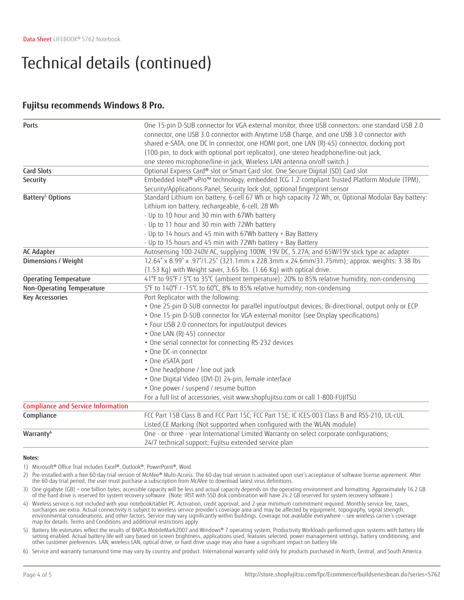## Technical details (continued)

### **Fujitsu recommends Windows 8 Pro.**

| <b>Ports</b>                              | One 15-pin D-SUB connector for VGA external monitor, three USB connectors: one standard USB 2.0         |
|-------------------------------------------|---------------------------------------------------------------------------------------------------------|
|                                           | connector, one USB 3.0 connector with Anytime USB Charge, and one USB 3.0 connector with                |
|                                           | shared e-SATA, one DC In connector, one HDMI port, one LAN (RJ-45) connector, docking port              |
|                                           | (100-pin, to dock with optional port replicator), one stereo headphone/line-out jack,                   |
|                                           | one stereo microphone/line-in jack, Wireless LAN antenna on/off switch.)                                |
| <b>Card Slots</b>                         | Optional Express Card® slot or Smart Card slot. One Secure Digital (SD) Card slot                       |
| Security                                  | Embedded Intel® vPro <sup>m</sup> technology, embedded TCG 1.2-compliant Trusted Platform Module (TPM), |
|                                           | Security/Applications Panel, Security lock slot, optional fingerprint sensor                            |
| Battery <sup>5</sup> Options              | Standard Lithium ion battery, 6-cell 67 Wh or high capacity 72 Wh, or, Optional Modular Bay battery:    |
|                                           | Lithium ion battery, rechargeable, 6-cell, 28 Wh                                                        |
|                                           | - Up to 10 hour and 30 min with 67Wh battery                                                            |
|                                           | - Up to 11 hour and 30 min with 72Wh battery                                                            |
|                                           | - Up to 14 hours and 45 min with 67Wh battery + Bay Battery                                             |
|                                           | - Up to 15 hours and 45 min with 72Wh battery + Bay Battery                                             |
| <b>AC Adapter</b>                         | Autosensing 100-240V AC, supplying 100W, 19V DC, 5.27A; and 65W/19V stick type ac adapter               |
| Dimensions / Weight                       | 12.64" x 8.99" x .97"/1.25" (321.1mm x 228.3mm x 24.6mm/31.75mm); approx. weights: 3.38 lbs             |
|                                           | (1.53 Kg) with Weight saver, 3.65 lbs. (1.66 Kg) with optical drive.                                    |
| <b>Operating Temperature</b>              | 41°F to 95°F / 5°C to 35°C (ambient temperature); 20% to 85% relative humidity, non-condensing          |
| Non-Operating Temperature                 | 5°F to 140°F / -15°C to 60°C, 8% to 85% relative humidity; non-condensing                               |
| <b>Key Accessories</b>                    | Port Replicator with the following:                                                                     |
|                                           | . One 25-pin D-SUB connector for parallel input/output devices; Bi-directional, output only or ECP      |
|                                           | . One 15-pin D-SUB connector for VGA external monitor (see Display specifications)                      |
|                                           | • Four USB 2.0 connectors for input/output devices                                                      |
|                                           | • One LAN (RJ-45) connector                                                                             |
|                                           | • One serial connector for connecting RS-232 devices                                                    |
|                                           | • One DC-in connector                                                                                   |
|                                           | • One eSATA port                                                                                        |
|                                           | • One headphone / line out jack                                                                         |
|                                           | · One Digital Video (DVI-D) 24-pin, female interface                                                    |
|                                           | . One power / suspend / resume button                                                                   |
|                                           | For a full list of accessories, visit www.shopfujitsu.com or call 1-800-FUJITSU                         |
| <b>Compliance and Service Information</b> |                                                                                                         |
| Compliance                                | FCC Part 15B Class B and FCC Part 15C; FCC Part 15E; IC ICES-003 Class B and RSS-210, UL-cUL            |
|                                           | Listed, CE Marking (Not supported when configured with the WLAN module)                                 |
| Warranty <sup>6</sup>                     | One - or three - year International Limited Warranty on select corporate configurations;                |
|                                           | 24/7 technical support; Fujitsu extended service plan                                                   |

### **Notes:**

1) Microsoft® Office Trial includes Excel®, Outlook®, PowerPoint®, Word.

2) Pre-installed with a free 60-day trial version of McAfee® Multi-Access. The 60-day trial version is activated upon user's acceptance of software license agreement. After the 60-day trial period, the user must purchase a subscription from McAfee to download latest virus definitions.

3) One gigabyte (GB) = one billion bytes; accessible capacity will be less and actual capacity depends on the operating environment and formatting. Approximately 16.2 GB<br>of the hard drive is reserved for system recovery so

4) Wireless service is not included with your notebook/tablet PC. Activation, credit approval, and 2-year minimum commitment required. Monthly service fee, taxes, surcharges are extra. Actual connectivity is subject to wireless service provider's coverage area and may be affected by equipment, topography, signal strength, environmental considerations, and other factors. Service may vary significantly within buildings. Coverage not available everywhere — see wireless carrier's coverage map for details. Terms and Conditions and additional restrictions apply.

5) Battery life estimates reflect the results of BAPCo MobileMark2007 and Windows® 7 operating system, Productivity Workloads performed upon systems with battery life setting enabled. Actual battery life will vary based on screen brightness, applications used, features selected, power management settings, battery conditioning, and other customer preferences. LAN, wireless LAN, optical drive, or hard drive usage may also have a significant impact on battery life.

6) Service and warranty turnaround time may vary by country and product. International warranty valid only for products purchased in North, Central, and South America.